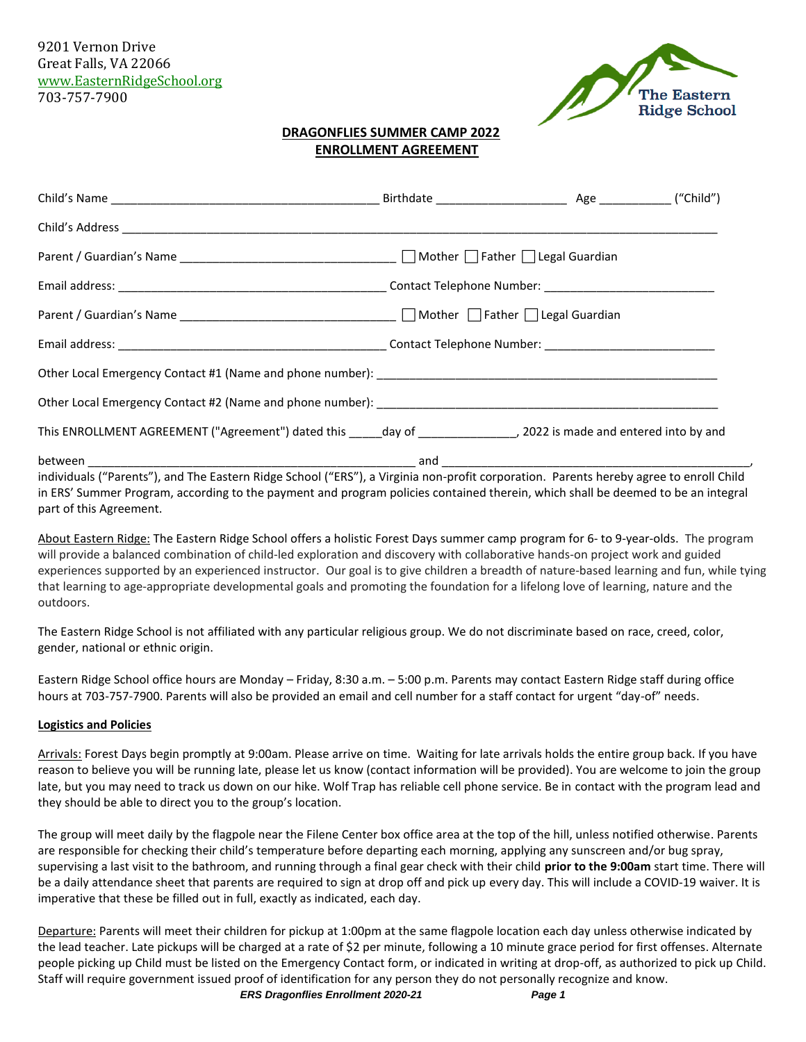9201 Vernon Drive Great Falls, VA 22066 [www.EasternRidgeSchool.org](http://www.easternridgeschool.org/) 703-757-7900



## **DRAGONFLIES SUMMER CAMP 2022 ENROLLMENT AGREEMENT**

| Parent / Guardian's Name _________________________________ Mother □ Father □ Legal Guardian                                            |  |  |
|----------------------------------------------------------------------------------------------------------------------------------------|--|--|
|                                                                                                                                        |  |  |
|                                                                                                                                        |  |  |
|                                                                                                                                        |  |  |
|                                                                                                                                        |  |  |
| individuals ("Parents"), and The Eastern Ridge School ("ERS"), a Virginia non-profit corporation. Parents hereby agree to enroll Child |  |  |

in ERS' Summer Program, according to the payment and program policies contained therein, which shall be deemed to be an integral part of this Agreement.

About Eastern Ridge: The Eastern Ridge School offers a holistic Forest Days summer camp program for 6- to 9-year-olds. The program will provide a balanced combination of child-led exploration and discovery with collaborative hands-on project work and guided experiences supported by an experienced instructor. Our goal is to give children a breadth of nature-based learning and fun, while tying that learning to age-appropriate developmental goals and promoting the foundation for a lifelong love of learning, nature and the outdoors.

The Eastern Ridge School is not affiliated with any particular religious group. We do not discriminate based on race, creed, color, gender, national or ethnic origin.

Eastern Ridge School office hours are Monday – Friday, 8:30 a.m. – 5:00 p.m. Parents may contact Eastern Ridge staff during office hours at 703-757-7900. Parents will also be provided an email and cell number for a staff contact for urgent "day-of" needs.

#### **Logistics and Policies**

Arrivals: Forest Days begin promptly at 9:00am. Please arrive on time. Waiting for late arrivals holds the entire group back. If you have reason to believe you will be running late, please let us know (contact information will be provided). You are welcome to join the group late, but you may need to track us down on our hike. Wolf Trap has reliable cell phone service. Be in contact with the program lead and they should be able to direct you to the group's location.

The group will meet daily by the flagpole near the Filene Center box office area at the top of the hill, unless notified otherwise. Parents are responsible for checking their child's temperature before departing each morning, applying any sunscreen and/or bug spray, supervising a last visit to the bathroom, and running through a final gear check with their child **prior to the 9:00am** start time. There will be a daily attendance sheet that parents are required to sign at drop off and pick up every day. This will include a COVID-19 waiver. It is imperative that these be filled out in full, exactly as indicated, each day.

Departure: Parents will meet their children for pickup at 1:00pm at the same flagpole location each day unless otherwise indicated by the lead teacher. Late pickups will be charged at a rate of \$2 per minute, following a 10 minute grace period for first offenses. Alternate people picking up Child must be listed on the Emergency Contact form, or indicated in writing at drop-off, as authorized to pick up Child. Staff will require government issued proof of identification for any person they do not personally recognize and know.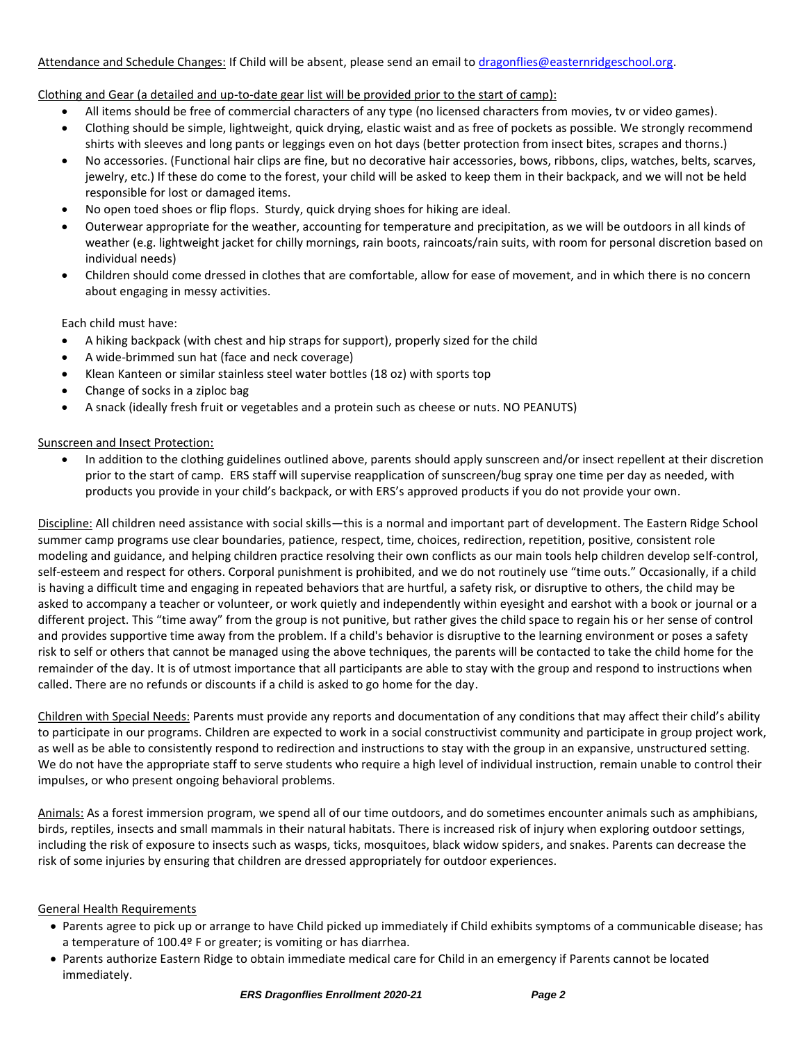### Attendance and Schedule Changes: If Child will be absent, please send an email t[o dragonflies@easternridgeschool.org.](mailto:dragonflies@easternridgeschool.org)

## Clothing and Gear (a detailed and up-to-date gear list will be provided prior to the start of camp):

- All items should be free of commercial characters of any type (no licensed characters from movies, tv or video games).
- Clothing should be simple, lightweight, quick drying, elastic waist and as free of pockets as possible. We strongly recommend shirts with sleeves and long pants or leggings even on hot days (better protection from insect bites, scrapes and thorns.)
- No accessories. (Functional hair clips are fine, but no decorative hair accessories, bows, ribbons, clips, watches, belts, scarves, jewelry, etc.) If these do come to the forest, your child will be asked to keep them in their backpack, and we will not be held responsible for lost or damaged items.
- No open toed shoes or flip flops. Sturdy, quick drying shoes for hiking are ideal.
- Outerwear appropriate for the weather, accounting for temperature and precipitation, as we will be outdoors in all kinds of weather (e.g. lightweight jacket for chilly mornings, rain boots, raincoats/rain suits, with room for personal discretion based on individual needs)
- Children should come dressed in clothes that are comfortable, allow for ease of movement, and in which there is no concern about engaging in messy activities.

Each child must have:

- A hiking backpack (with chest and hip straps for support), properly sized for the child
- A wide-brimmed sun hat (face and neck coverage)
- Klean Kanteen or similar stainless steel water bottles (18 oz) with sports top
- Change of socks in a ziploc bag
- A snack (ideally fresh fruit or vegetables and a protein such as cheese or nuts. NO PEANUTS)

### Sunscreen and Insect Protection:

• In addition to the clothing guidelines outlined above, parents should apply sunscreen and/or insect repellent at their discretion prior to the start of camp. ERS staff will supervise reapplication of sunscreen/bug spray one time per day as needed, with products you provide in your child's backpack, or with ERS's approved products if you do not provide your own.

Discipline: All children need assistance with social skills—this is a normal and important part of development. The Eastern Ridge School summer camp programs use clear boundaries, patience, respect, time, choices, redirection, repetition, positive, consistent role modeling and guidance, and helping children practice resolving their own conflicts as our main tools help children develop self-control, self-esteem and respect for others. Corporal punishment is prohibited, and we do not routinely use "time outs." Occasionally, if a child is having a difficult time and engaging in repeated behaviors that are hurtful, a safety risk, or disruptive to others, the child may be asked to accompany a teacher or volunteer, or work quietly and independently within eyesight and earshot with a book or journal or a different project. This "time away" from the group is not punitive, but rather gives the child space to regain his or her sense of control and provides supportive time away from the problem. If a child's behavior is disruptive to the learning environment or poses a safety risk to self or others that cannot be managed using the above techniques, the parents will be contacted to take the child home for the remainder of the day. It is of utmost importance that all participants are able to stay with the group and respond to instructions when called. There are no refunds or discounts if a child is asked to go home for the day.

Children with Special Needs: Parents must provide any reports and documentation of any conditions that may affect their child's ability to participate in our programs. Children are expected to work in a social constructivist community and participate in group project work, as well as be able to consistently respond to redirection and instructions to stay with the group in an expansive, unstructured setting. We do not have the appropriate staff to serve students who require a high level of individual instruction, remain unable to control their impulses, or who present ongoing behavioral problems.

Animals: As a forest immersion program, we spend all of our time outdoors, and do sometimes encounter animals such as amphibians, birds, reptiles, insects and small mammals in their natural habitats. There is increased risk of injury when exploring outdoor settings, including the risk of exposure to insects such as wasps, ticks, mosquitoes, black widow spiders, and snakes. Parents can decrease the risk of some injuries by ensuring that children are dressed appropriately for outdoor experiences.

### General Health Requirements

- Parents agree to pick up or arrange to have Child picked up immediately if Child exhibits symptoms of a communicable disease; has a temperature of 100.4º F or greater; is vomiting or has diarrhea.
- Parents authorize Eastern Ridge to obtain immediate medical care for Child in an emergency if Parents cannot be located immediately.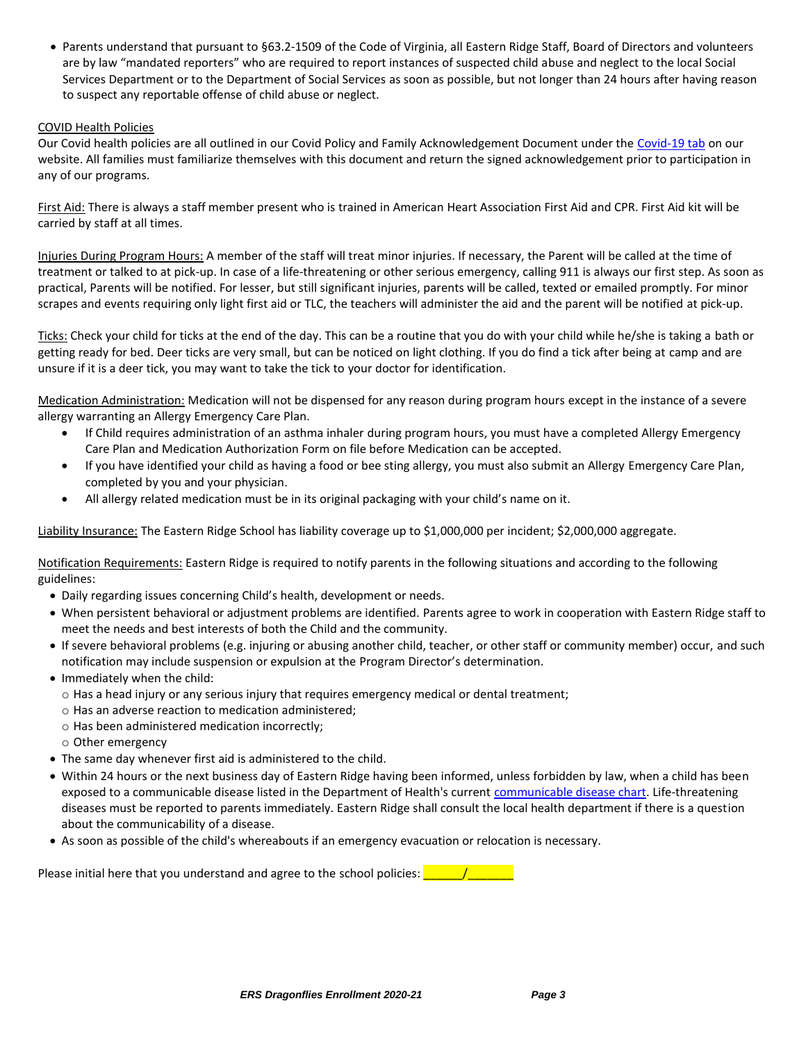• Parents understand that pursuant to §63.2-1509 of the Code of Virginia, all Eastern Ridge Staff, Board of Directors and volunteers are by law "mandated reporters" who are required to report instances of suspected child abuse and neglect to the local Social Services Department or to the Department of Social Services as soon as possible, but not longer than 24 hours after having reason to suspect any reportable offense of child abuse or neglect.

#### COVID Health Policies

Our Covid health policies are all outlined in our Covid Policy and Family Acknowledgement Document under the [Covid-19 tab](https://www.easternridgeschool.org/covid-19-udates/) on our website. All families must familiarize themselves with this document and return the signed acknowledgement prior to participation in any of our programs.

First Aid: There is always a staff member present who is trained in American Heart Association First Aid and CPR. First Aid kit will be carried by staff at all times.

Injuries During Program Hours: A member of the staff will treat minor injuries. If necessary, the Parent will be called at the time of treatment or talked to at pick-up. In case of a life-threatening or other serious emergency, calling 911 is always our first step. As soon as practical, Parents will be notified. For lesser, but still significant injuries, parents will be called, texted or emailed promptly. For minor scrapes and events requiring only light first aid or TLC, the teachers will administer the aid and the parent will be notified at pick-up.

Ticks: Check your child for ticks at the end of the day. This can be a routine that you do with your child while he/she is taking a bath or getting ready for bed. Deer ticks are very small, but can be noticed on light clothing. If you do find a tick after being at camp and are unsure if it is a deer tick, you may want to take the tick to your doctor for identification.

Medication Administration: Medication will not be dispensed for any reason during program hours except in the instance of a severe allergy warranting an Allergy Emergency Care Plan.

- If Child requires administration of an asthma inhaler during program hours, you must have a completed Allergy Emergency Care Plan and Medication Authorization Form on file before Medication can be accepted.
- If you have identified your child as having a food or bee sting allergy, you must also submit an Allergy Emergency Care Plan, completed by you and your physician.
- All allergy related medication must be in its original packaging with your child's name on it.

Liability Insurance: The Eastern Ridge School has liability coverage up to \$1,000,000 per incident; \$2,000,000 aggregate.

Notification Requirements: Eastern Ridge is required to notify parents in the following situations and according to the following guidelines:

- Daily regarding issues concerning Child's health, development or needs.
- When persistent behavioral or adjustment problems are identified. Parents agree to work in cooperation with Eastern Ridge staff to meet the needs and best interests of both the Child and the community.
- If severe behavioral problems (e.g. injuring or abusing another child, teacher, or other staff or community member) occur, and such notification may include suspension or expulsion at the Program Director's determination.
- Immediately when the child:
	- o Has a head injury or any serious injury that requires emergency medical or dental treatment;
	- o Has an adverse reaction to medication administered;
	- o Has been administered medication incorrectly;
	- o Other emergency
- The same day whenever first aid is administered to the child.
- Within 24 hours or the next business day of Eastern Ridge having been informed, unless forbidden by law, when a child has been exposed to a communicable disease listed in the Department of Health's current [communicable disease chart.](https://www.vdh.virginia.gov/content/uploads/sites/13/2018/11/Reportable_Disease_List.pdf) Life-threatening diseases must be reported to parents immediately. Eastern Ridge shall consult the local health department if there is a question about the communicability of a disease.
- As soon as possible of the child's whereabouts if an emergency evacuation or relocation is necessary.

Please initial here that you understand and agree to the school policies:  $\frac{1}{\sqrt{2}}$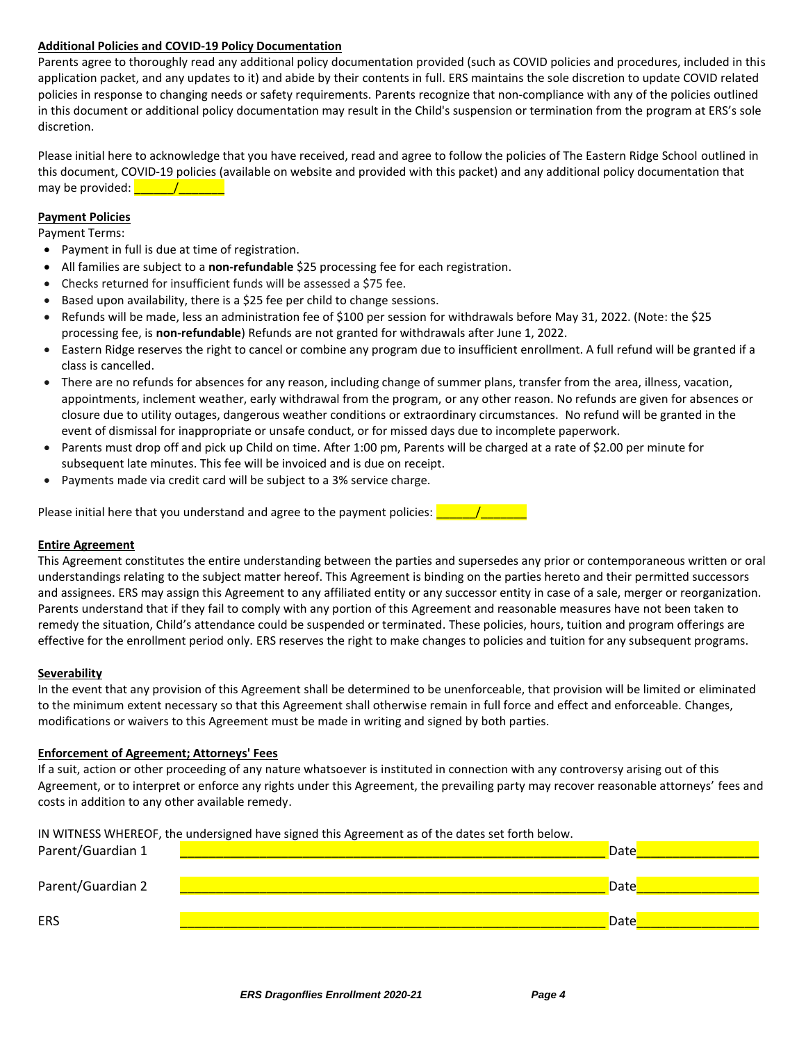### **Additional Policies and COVID-19 Policy Documentation**

Parents agree to thoroughly read any additional policy documentation provided (such as COVID policies and procedures, included in this application packet, and any updates to it) and abide by their contents in full. ERS maintains the sole discretion to update COVID related policies in response to changing needs or safety requirements. Parents recognize that non-compliance with any of the policies outlined in this document or additional policy documentation may result in the Child's suspension or termination from the program at ERS's sole discretion.

Please initial here to acknowledge that you have received, read and agree to follow the policies of The Eastern Ridge School outlined in this document, COVID-19 policies (available on website and provided with this packet) and any additional policy documentation that may be provided:  $\frac{1}{\sqrt{1-\frac{1}{2}}\sqrt{1-\frac{1}{2}}\sqrt{1-\frac{1}{2}}\sqrt{1-\frac{1}{2}}\sqrt{1-\frac{1}{2}}\sqrt{1-\frac{1}{2}}\sqrt{1-\frac{1}{2}}\sqrt{1-\frac{1}{2}}\sqrt{1-\frac{1}{2}}\sqrt{1-\frac{1}{2}}\sqrt{1-\frac{1}{2}}\sqrt{1-\frac{1}{2}}\sqrt{1-\frac{1}{2}}\sqrt{1-\frac{1}{2}}\sqrt{1-\frac{1}{2}}\sqrt{1-\frac{1}{2}}\sqrt{1-\frac{1}{2}}\sqrt{1-\frac{1}{2}}$ 

#### **Payment Policies**

Payment Terms:

- Payment in full is due at time of registration.
- All families are subject to a **non-refundable** \$25 processing fee for each registration.
- Checks returned for insufficient funds will be assessed a \$75 fee.
- Based upon availability, there is a \$25 fee per child to change sessions.
- Refunds will be made, less an administration fee of \$100 per session for withdrawals before May 31, 2022. (Note: the \$25 processing fee, is **non-refundable**) Refunds are not granted for withdrawals after June 1, 2022.
- Eastern Ridge reserves the right to cancel or combine any program due to insufficient enrollment. A full refund will be granted if a class is cancelled.
- There are no refunds for absences for any reason, including change of summer plans, transfer from the area, illness, vacation, appointments, inclement weather, early withdrawal from the program, or any other reason. No refunds are given for absences or closure due to utility outages, dangerous weather conditions or extraordinary circumstances. No refund will be granted in the event of dismissal for inappropriate or unsafe conduct, or for missed days due to incomplete paperwork.
- Parents must drop off and pick up Child on time. After 1:00 pm, Parents will be charged at a rate of \$2.00 per minute for subsequent late minutes. This fee will be invoiced and is due on receipt.
- Payments made via credit card will be subject to a 3% service charge.

| Please initial here that you understand and agree to the payment policies: $\sqrt{\ }$ |  |
|----------------------------------------------------------------------------------------|--|
|----------------------------------------------------------------------------------------|--|

#### **Entire Agreement**

This Agreement constitutes the entire understanding between the parties and supersedes any prior or contemporaneous written or oral understandings relating to the subject matter hereof. This Agreement is binding on the parties hereto and their permitted successors and assignees. ERS may assign this Agreement to any affiliated entity or any successor entity in case of a sale, merger or reorganization. Parents understand that if they fail to comply with any portion of this Agreement and reasonable measures have not been taken to remedy the situation, Child's attendance could be suspended or terminated. These policies, hours, tuition and program offerings are effective for the enrollment period only. ERS reserves the right to make changes to policies and tuition for any subsequent programs.

#### **Severability**

In the event that any provision of this Agreement shall be determined to be unenforceable, that provision will be limited or eliminated to the minimum extent necessary so that this Agreement shall otherwise remain in full force and effect and enforceable. Changes, modifications or waivers to this Agreement must be made in writing and signed by both parties.

#### **Enforcement of Agreement; Attorneys' Fees**

If a suit, action or other proceeding of any nature whatsoever is instituted in connection with any controversy arising out of this Agreement, or to interpret or enforce any rights under this Agreement, the prevailing party may recover reasonable attorneys' fees and costs in addition to any other available remedy.

IN WITNESS WHEREOF, the undersigned have signed this Agreement as of the dates set forth below.

| Parent/Guardian 1 | Date |
|-------------------|------|
| Parent/Guardian 2 | Date |
| <b>ERS</b>        | Date |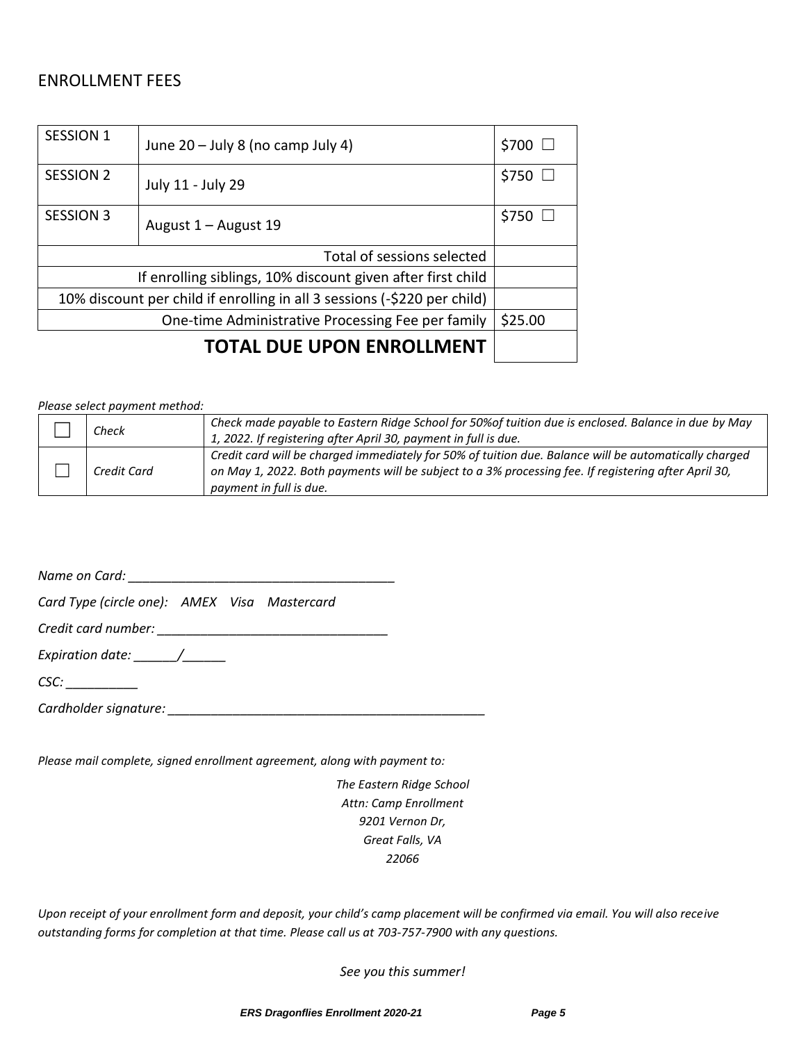# ENROLLMENT FEES

| <b>SESSION 1</b>                                                         | June 20 - July 8 (no camp July 4) | \$700 □          |
|--------------------------------------------------------------------------|-----------------------------------|------------------|
| <b>SESSION 2</b>                                                         | July 11 - July 29                 | $$750$ $\square$ |
| <b>SESSION 3</b>                                                         | August 1 – August 19              | \$750            |
| Total of sessions selected                                               |                                   |                  |
| If enrolling siblings, 10% discount given after first child              |                                   |                  |
| 10% discount per child if enrolling in all 3 sessions (-\$220 per child) |                                   |                  |
| One-time Administrative Processing Fee per family                        |                                   | \$25.00          |
| TOTAL DUE UPON ENROLLMENT                                                |                                   |                  |

*Please select payment method:*

| Check       | Check made payable to Eastern Ridge School for 50% of tuition due is enclosed. Balance in due by May                                                                                                                                     |
|-------------|------------------------------------------------------------------------------------------------------------------------------------------------------------------------------------------------------------------------------------------|
|             | 1, 2022. If registering after April 30, payment in full is due.                                                                                                                                                                          |
| Credit Card | Credit card will be charged immediately for 50% of tuition due. Balance will be automatically charged<br>on May 1, 2022. Both payments will be subject to a 3% processing fee. If registering after April 30,<br>payment in full is due. |

*Name on Card: \_\_\_\_\_\_\_\_\_\_\_\_\_\_\_\_\_\_\_\_\_\_\_\_\_\_\_\_\_\_\_\_\_\_\_\_\_*

*Card Type (circle one): AMEX Visa Mastercard*

*Credit card number: \_\_\_\_\_\_\_\_\_\_\_\_\_\_\_\_\_\_\_\_\_\_\_\_\_\_\_\_\_\_\_\_*

*Expiration date: \_\_\_\_\_\_/\_\_\_\_\_\_*

*CSC: \_\_\_\_\_\_\_\_\_\_*

*Cardholder signature: \_\_\_\_\_\_\_\_\_\_\_\_\_\_\_\_\_\_\_\_\_\_\_\_\_\_\_\_\_\_\_\_\_\_\_\_\_\_\_\_\_\_\_\_*

*Please mail complete, signed enrollment agreement, along with payment to:*

*The Eastern Ridge School Attn: Camp Enrollment 9201 Vernon Dr, Great Falls, VA 22066*

*Upon receipt of your enrollment form and deposit, your child's camp placement will be confirmed via email. You will also receive outstanding forms for completion at that time. Please call us at 703-757-7900 with any questions.*

*See you this summer!*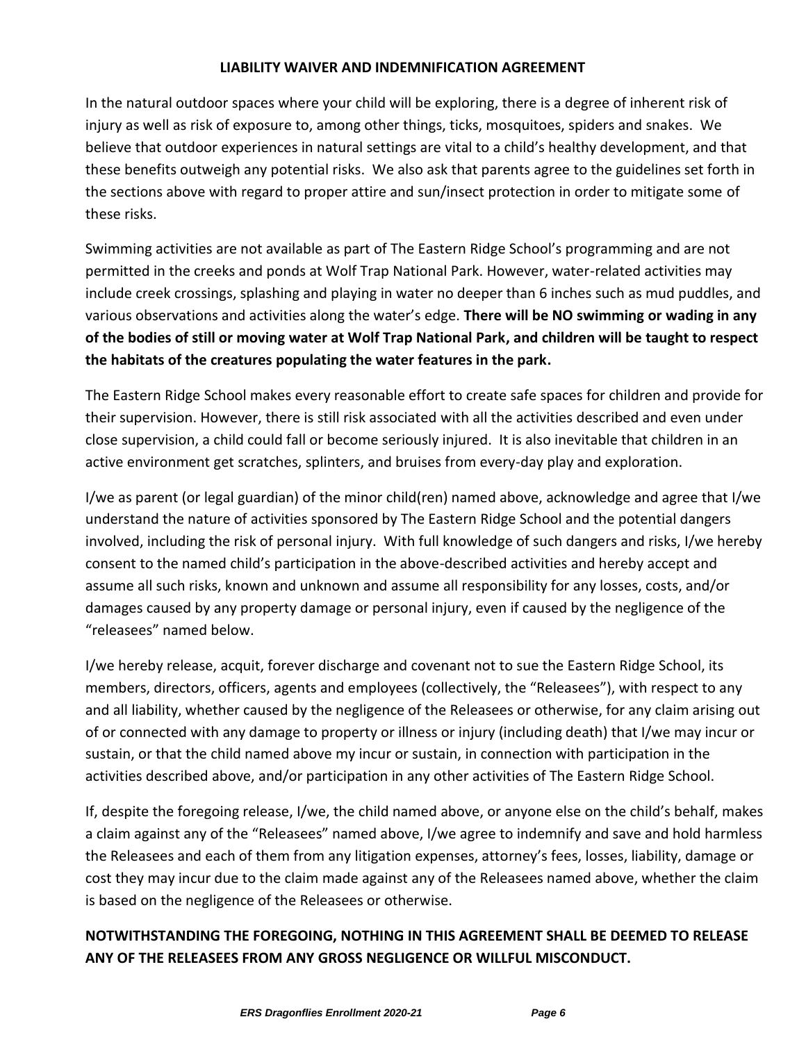# **LIABILITY WAIVER AND INDEMNIFICATION AGREEMENT**

In the natural outdoor spaces where your child will be exploring, there is a degree of inherent risk of injury as well as risk of exposure to, among other things, ticks, mosquitoes, spiders and snakes. We believe that outdoor experiences in natural settings are vital to a child's healthy development, and that these benefits outweigh any potential risks. We also ask that parents agree to the guidelines set forth in the sections above with regard to proper attire and sun/insect protection in order to mitigate some of these risks.

Swimming activities are not available as part of The Eastern Ridge School's programming and are not permitted in the creeks and ponds at Wolf Trap National Park. However, water-related activities may include creek crossings, splashing and playing in water no deeper than 6 inches such as mud puddles, and various observations and activities along the water's edge. **There will be NO swimming or wading in any of the bodies of still or moving water at Wolf Trap National Park, and children will be taught to respect the habitats of the creatures populating the water features in the park.**

The Eastern Ridge School makes every reasonable effort to create safe spaces for children and provide for their supervision. However, there is still risk associated with all the activities described and even under close supervision, a child could fall or become seriously injured. It is also inevitable that children in an active environment get scratches, splinters, and bruises from every-day play and exploration.

I/we as parent (or legal guardian) of the minor child(ren) named above, acknowledge and agree that I/we understand the nature of activities sponsored by The Eastern Ridge School and the potential dangers involved, including the risk of personal injury. With full knowledge of such dangers and risks, I/we hereby consent to the named child's participation in the above-described activities and hereby accept and assume all such risks, known and unknown and assume all responsibility for any losses, costs, and/or damages caused by any property damage or personal injury, even if caused by the negligence of the "releasees" named below.

I/we hereby release, acquit, forever discharge and covenant not to sue the Eastern Ridge School, its members, directors, officers, agents and employees (collectively, the "Releasees"), with respect to any and all liability, whether caused by the negligence of the Releasees or otherwise, for any claim arising out of or connected with any damage to property or illness or injury (including death) that I/we may incur or sustain, or that the child named above my incur or sustain, in connection with participation in the activities described above, and/or participation in any other activities of The Eastern Ridge School.

If, despite the foregoing release, I/we, the child named above, or anyone else on the child's behalf, makes a claim against any of the "Releasees" named above, I/we agree to indemnify and save and hold harmless the Releasees and each of them from any litigation expenses, attorney's fees, losses, liability, damage or cost they may incur due to the claim made against any of the Releasees named above, whether the claim is based on the negligence of the Releasees or otherwise.

# **NOTWITHSTANDING THE FOREGOING, NOTHING IN THIS AGREEMENT SHALL BE DEEMED TO RELEASE ANY OF THE RELEASEES FROM ANY GROSS NEGLIGENCE OR WILLFUL MISCONDUCT.**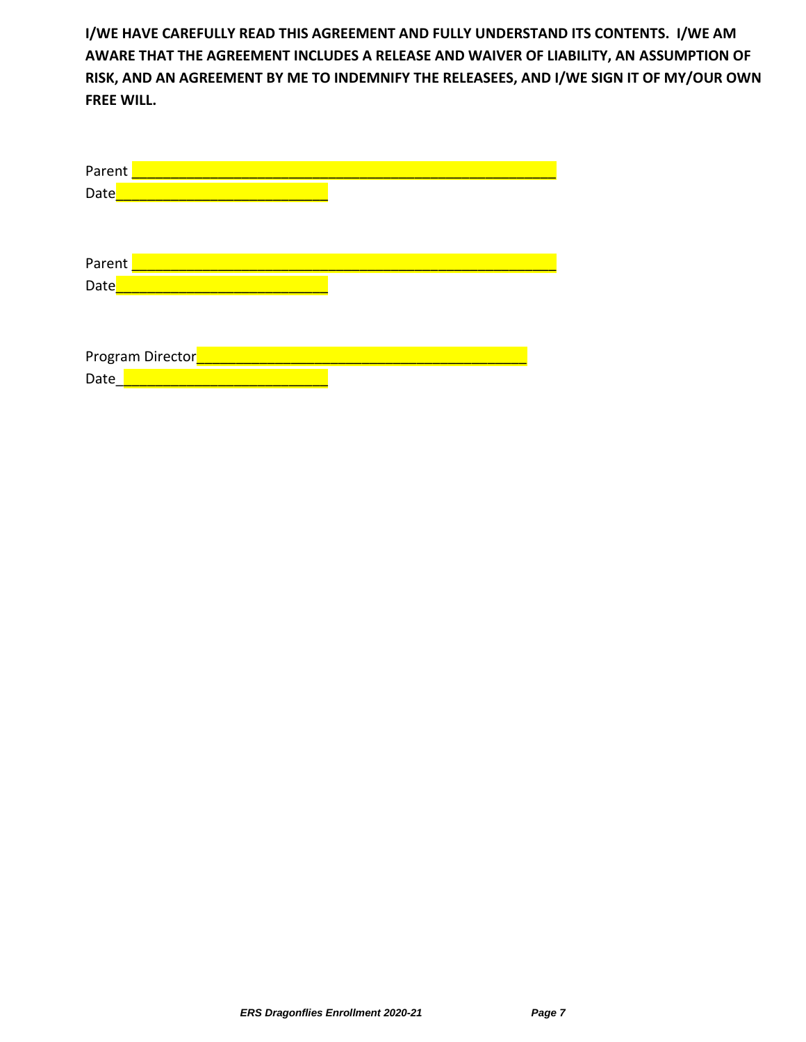**I/WE HAVE CAREFULLY READ THIS AGREEMENT AND FULLY UNDERSTAND ITS CONTENTS. I/WE AM AWARE THAT THE AGREEMENT INCLUDES A RELEASE AND WAIVER OF LIABILITY, AN ASSUMPTION OF RISK, AND AN AGREEMENT BY ME TO INDEMNIFY THE RELEASEES, AND I/WE SIGN IT OF MY/OUR OWN FREE WILL.**

| Parent           |  |
|------------------|--|
| Date             |  |
|                  |  |
|                  |  |
| Parent           |  |
| Date             |  |
|                  |  |
|                  |  |
| Program Director |  |
| Date             |  |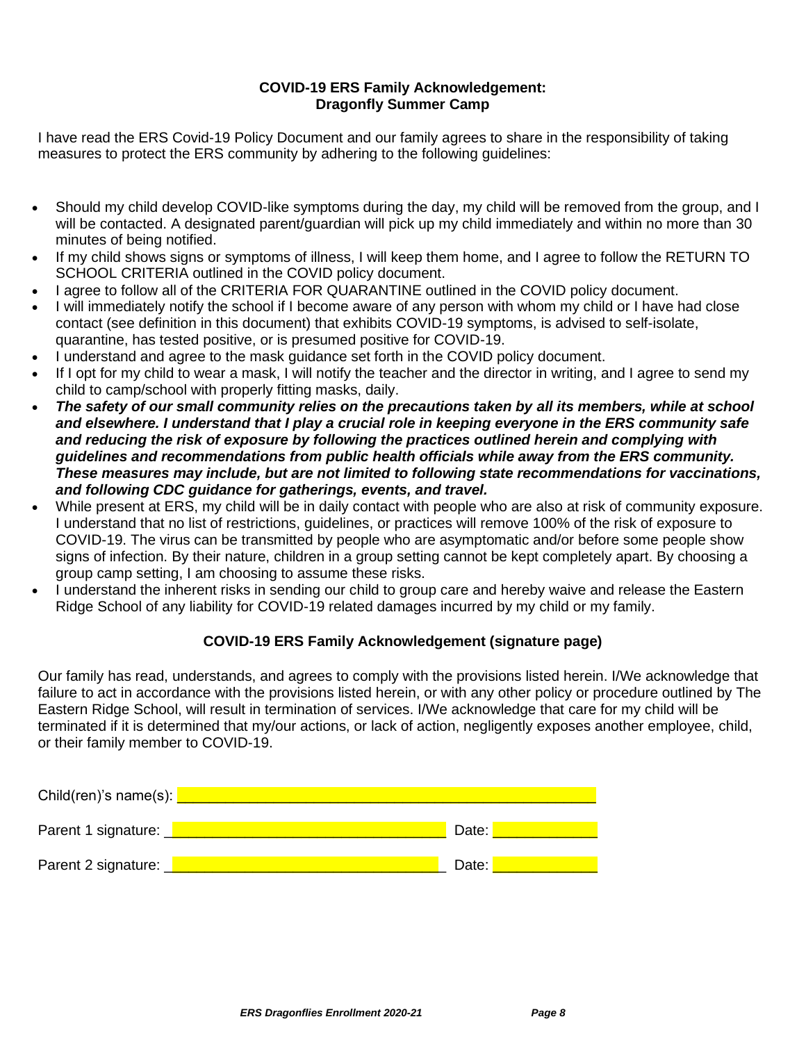# **COVID-19 ERS Family Acknowledgement: Dragonfly Summer Camp**

I have read the ERS Covid-19 Policy Document and our family agrees to share in the responsibility of taking measures to protect the ERS community by adhering to the following guidelines:

- Should my child develop COVID-like symptoms during the day, my child will be removed from the group, and I will be contacted. A designated parent/guardian will pick up my child immediately and within no more than 30 minutes of being notified.
- If my child shows signs or symptoms of illness, I will keep them home, and I agree to follow the RETURN TO SCHOOL CRITERIA outlined in the COVID policy document.
- I agree to follow all of the CRITERIA FOR QUARANTINE outlined in the COVID policy document.
- I will immediately notify the school if I become aware of any person with whom my child or I have had close contact (see definition in this document) that exhibits COVID-19 symptoms, is advised to self-isolate, quarantine, has tested positive, or is presumed positive for COVID-19.
- I understand and agree to the mask guidance set forth in the COVID policy document.
- If I opt for my child to wear a mask, I will notify the teacher and the director in writing, and I agree to send my child to camp/school with properly fitting masks, daily.
- *The safety of our small community relies on the precautions taken by all its members, while at school and elsewhere. I understand that I play a crucial role in keeping everyone in the ERS community safe and reducing the risk of exposure by following the practices outlined herein and complying with guidelines and recommendations from public health officials while away from the ERS community. These measures may include, but are not limited to following state recommendations for vaccinations, and following CDC guidance for gatherings, events, and travel.*
- While present at ERS, my child will be in daily contact with people who are also at risk of community exposure. I understand that no list of restrictions, guidelines, or practices will remove 100% of the risk of exposure to COVID-19. The virus can be transmitted by people who are asymptomatic and/or before some people show signs of infection. By their nature, children in a group setting cannot be kept completely apart. By choosing a group camp setting, I am choosing to assume these risks.
- I understand the inherent risks in sending our child to group care and hereby waive and release the Eastern Ridge School of any liability for COVID-19 related damages incurred by my child or my family.

# **COVID-19 ERS Family Acknowledgement (signature page)**

Our family has read, understands, and agrees to comply with the provisions listed herein. I/We acknowledge that failure to act in accordance with the provisions listed herein, or with any other policy or procedure outlined by The Eastern Ridge School, will result in termination of services. I/We acknowledge that care for my child will be terminated if it is determined that my/our actions, or lack of action, negligently exposes another employee, child, or their family member to COVID-19.

| Child(ren)'s name(s): $\Box$ |       |
|------------------------------|-------|
| Parent 1 signature:          | Date: |
| Parent 2 signature:          | Date: |